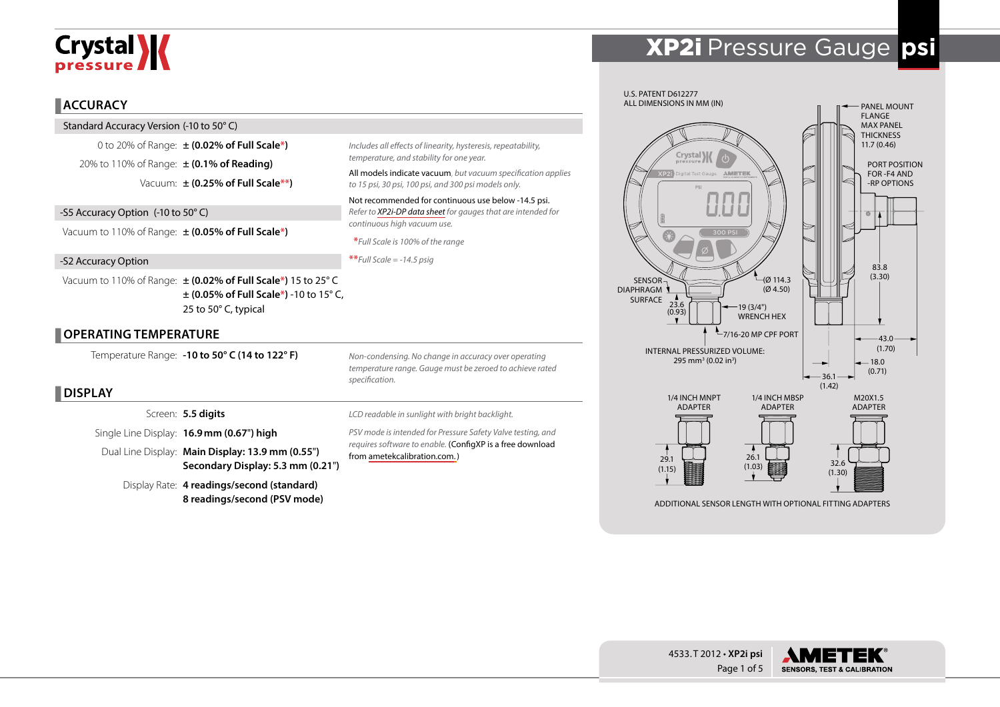# **Crystal >>>>**

#### **ACCURACY**

Standard Accuracy Version (-10 to 50° C)

0 to 20% of Range: **± (0.02% of Full Scale\*)** 20% to 110% of Range: **± (0.1% of Reading)** Vacuum: **± (0.25% of Full Scale\*\*)**

-S5 Accuracy Option (-10 to 50° C) Vacuum to 110% of Range: **± (0.05% of Full Scale\*)**

-S2 Accuracy Option

Vacuum to 110% of Range: **± (0.02% of Full Scale\*)** 15 to 25° C **± (0.05% of Full Scale\*)** -10 to 15° C, 25 to 50° C, typical

# **OPERATING TEMPERATURE**

Temperature Range: **-10 to 50° C (14 to 122° F)**

  **DISPLAY**

Screen: **5.5 digits**

Single Line Display: **16.9mm (0.67**"**) high**

Dual Line Display: **Main Display: 13.9 mm (0.55**"**) Secondary Display: 5.3 mm (0.21**"**)**

Display Rate: **4 readings/second (standard) 8 readings/second (PSV mode)**

*Non-condensing. No change in accuracy over operating temperature range. Gauge must be zeroed to achieve rated specification.*

*Includes all effects of linearity, hysteresis, repeatability,* 

*to 15 psi, 30 psi, 100 psi, and 300 psi models only.* Not recommended for continuous use below -14.5 psi. *Refer to [XP2i-DP data sheet](http://www.ametekcalibration.com/products/pressure/digital-pressure-gauges/xp2i-dp-differential-pressure-gauge) for gauges that are intended for* 

All models indicate vacuum, *but vacuum specification applies* 

*temperature, and stability for one year.*

*continuous high vacuum use.*  **\****Full Scale is 100% of the range*

**\*\****Full Scale = -14.5 psig*

*LCD readable in sunlight with bright backlight.*

*PSV mode is intended for Pressure Safety Valve testing, and requires software to enable.* (ConfigXP is a free download from [ametekcalibration.com. \)](http://www.ametekcalibration.com/products/software/configuration-software/configxp-configuration-software)





(1.15) (1.30)

32.6

ADDITIONAL SENSOR LENGTH WITH OPTIONAL FITTING ADAPTERS

26.1  $(1.03)$ 



29.1

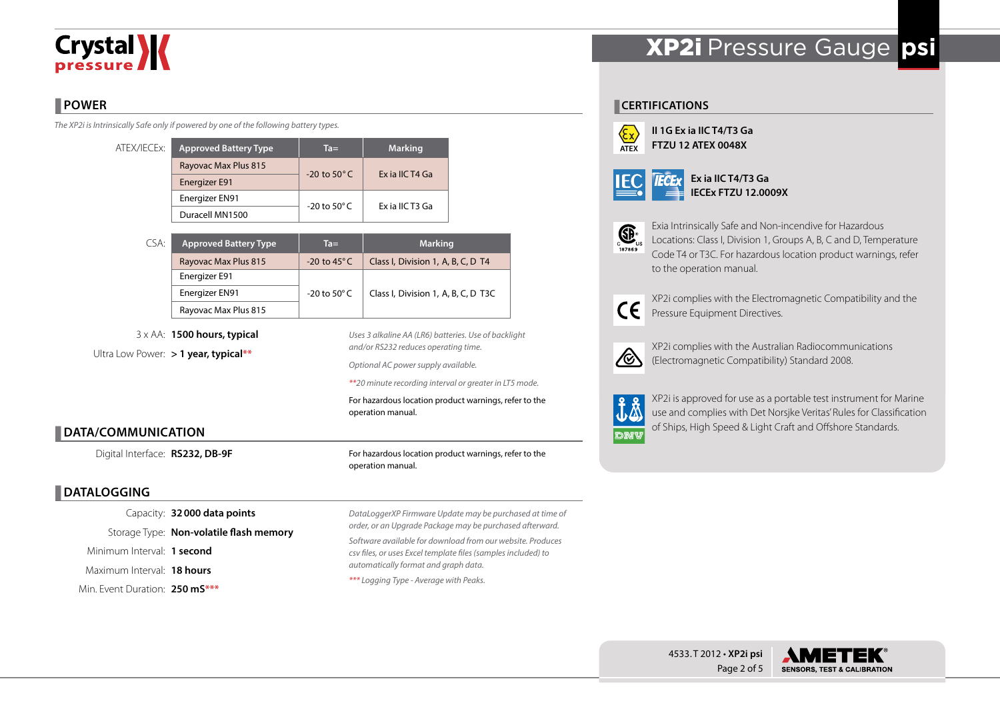# **Crystal >>>>**

# **POWER**

*The XP2i is Intrinsically Safe only if powered by one of the following battery types.*

| ATEX/IECEx: | <b>Approved Battery Type</b> | $Ta =$                  | <b>Marking</b>  |  |  |
|-------------|------------------------------|-------------------------|-----------------|--|--|
|             | Rayovac Max Plus 815         | $-20$ to $50^{\circ}$ C | Ex ia IIC T4 Ga |  |  |
|             | Energizer E91                |                         |                 |  |  |
|             | Energizer EN91               | -20 to 50 $^{\circ}$ C  | Ex ia IIC T3 Ga |  |  |
|             | Duracell MN1500              |                         |                 |  |  |

| CSA: | <b>Approved Battery Type</b> | $Ta =$                  | <b>Marking</b>                      |  |  |  |
|------|------------------------------|-------------------------|-------------------------------------|--|--|--|
|      | Rayovac Max Plus 815         | $-20$ to 45 $\degree$ C | Class I, Division 1, A, B, C, D T4  |  |  |  |
|      | Energizer E91                |                         |                                     |  |  |  |
|      | Energizer EN91               | -20 to 50 $^{\circ}$ C  | Class I, Division 1, A, B, C, D T3C |  |  |  |
|      | Rayovac Max Plus 815         |                         |                                     |  |  |  |

3 x AA: **1500 hours, typical** Ultra Low Power: **> 1 year, typical\*\***

*Uses 3 alkaline AA (LR6) batteries. Use of backlight and/or RS232 reduces operating time.*

*Optional AC power supply available.*

*\*\*20 minute recording interval or greater in LT5 mode.*

For hazardous location product warnings, refer to the operation manual.

# **DATA/COMMUNICATION**

Digital Interface: **RS232, DB-9F**

# **DATALOGGING**

Capacity: **32000 data points** Storage Type: **Non-volatile flash memory** Minimum Interval: **1 second** Maximum Interval: **18 hours** Min. Event Duration: **250 mS\*\*\***

For hazardous location product warnings, refer to the operation manual.

*DataLoggerXP Firmware Update may be purchased at time of order, or an Upgrade Package may be purchased afterward. Software available for download from our website. Produces csv files, or uses Excel template files (samples included) to automatically format and graph data.*

*\*\*\* Logging Type - Average with Peaks.*

# XP2i Pressure Gauge **psi**

#### **CERTIFICATIONS**



**II 1G Ex ia IIC T4/T3 Ga FTZU 12 ATEX 0048X**

|--|--|

**Ex ia IIC T4/T3 Ga IECEx FTZU 12.0009X**



Exia Intrinsically Safe and Non-incendive for Hazardous Locations: Class I, Division 1, Groups A, B, C and D, Temperature Code T4 or T3C. For hazardous location product warnings, refer to the operation manual.



XP2i complies with the Electromagnetic Compatibility and the Pressure Equipment Directives.



XP2i complies with the Australian Radiocommunications (Electromagnetic Compatibility) Standard 2008.



XP2i is approved for use as a portable test instrument for Marine use and complies with Det Norsjke Veritas' Rules for Classification of Ships, High Speed & Light Craft and Offshore Standards.

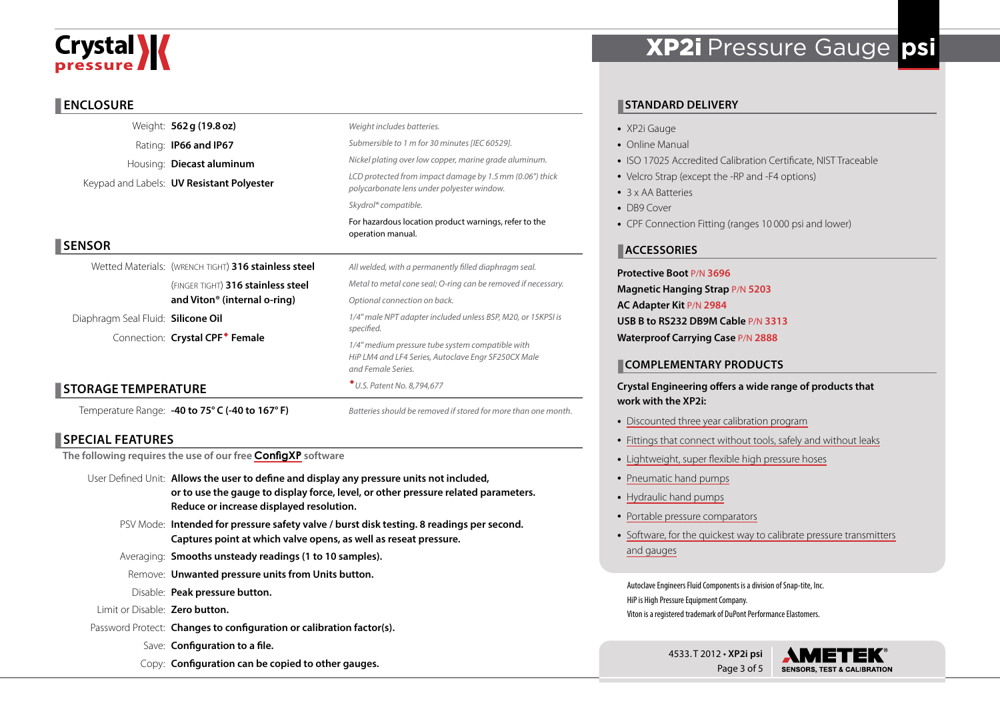# **Crystal**

#### **ENCLOSURE**

|                                    | Weight: 562 g (19.8 oz)                              | Weight includes batteries.                                                                                                    |  |  |  |  |  |
|------------------------------------|------------------------------------------------------|-------------------------------------------------------------------------------------------------------------------------------|--|--|--|--|--|
|                                    | Rating: <b>IP66 and IP67</b>                         | Submersible to 1 m for 30 minutes [IEC 60529].                                                                                |  |  |  |  |  |
|                                    | Housing: <b>Diecast aluminum</b>                     | Nickel plating over low copper, marine grade aluminum.                                                                        |  |  |  |  |  |
|                                    | Keypad and Labels: <b>UV Resistant Polyester</b>     | LCD protected from impact damage by 1.5 mm (0.06") thick<br>polycarbonate lens under polyester window.                        |  |  |  |  |  |
|                                    |                                                      | Skydrol <sup>®</sup> compatible.                                                                                              |  |  |  |  |  |
|                                    |                                                      | For hazardous location product warnings, refer to the<br>operation manual.                                                    |  |  |  |  |  |
| <b>SENSOR</b>                      |                                                      |                                                                                                                               |  |  |  |  |  |
|                                    | Wetted Materials: (WRENCH TIGHT) 316 stainless steel | All welded, with a permanently filled diaphragm seal.                                                                         |  |  |  |  |  |
|                                    | (FINGER TIGHT) 316 stainless steel                   | Metal to metal cone seal; O-ring can be removed if necessary.                                                                 |  |  |  |  |  |
|                                    | and Viton <sup>®</sup> (internal o-ring)             | Optional connection on back.                                                                                                  |  |  |  |  |  |
| Diaphragm Seal Fluid: Silicone Oil |                                                      | 1/4" male NPT adapter included unless BSP, M20, or 15KPSI is                                                                  |  |  |  |  |  |
|                                    | Connection: Crystal CPF <sup>*</sup> Female          | specified.                                                                                                                    |  |  |  |  |  |
|                                    |                                                      | 1/4" medium pressure tube system compatible with<br>HiP LM4 and LF4 Series, Autoclave Engr SF250CX Male<br>and Female Series. |  |  |  |  |  |
| <b>STORAGE TEMPERATURE</b>         |                                                      | * U.S. Patent No. 8,794,677                                                                                                   |  |  |  |  |  |
|                                    | Temperature Range: -40 to 75° C (-40 to 167° F)      | Batteries should be removed if stored for more than one month.                                                                |  |  |  |  |  |

# **SPECIAL FEATURES**

**The following requires the use of our free [ConfigXP](http://www.ametekcalibration.com/products/software/configuration-software/configxp-configuration-software) software**

- User Defined Unit: **Allows the user to define and display any pressure units not included, or to use the gauge to display force, level, or other pressure related parameters. Reduce or increase displayed resolution.**
	- PSV Mode: **Intended for pressure safety valve / burst disk testing. 8 readings per second. Captures point at which valve opens, as well as reseat pressure.**
	- Averaging: **Smooths unsteady readings (1 to 10 samples).**
	- Remove: **Unwanted pressure units from Units button.**
	- Disable: **Peak pressure button.**
- Limit or Disable: **Zero button.**
- Password Protect: **Changes to configuration or calibration factor(s).**
	- Save: **Configuration to a file.**
	- Copy: **Configuration can be copied to other gauges.**

# XP2i Pressure Gauge **psi**

# **STANDARD DELIVERY**

- XP2i Gauge
- Online Manual
- ISO 17025 Accredited Calibration Certificate, NIST Traceable
- Velcro Strap (except the -RP and -F4 options)
- 3 x AA Batteries
- DB9 Cover
- CPF Connection Fitting (ranges 10 000 psi and lower)

# **ACCESSORIES**

**Protective Boot** P/N **3696 Magnetic Hanging Strap** P/N **5203 AC Adapter Kit** P/N **2984 USB B to RS232 DB9M Cable** P/N **3313 Waterproof Carrying Case** P/N **2888**

# **COMPLEMENTARY PRODUCTS**

**Crystal Engineering offers a wide range of products that work with the XP2i:**

- [Discounted three year calibration program](http://www.ametekcalibration.com/-/media/ametekcalibration/download_links/pressure/xp2i/ametekcal%20flyer.pdf)
- [Fittings that connect without tools, safely and without leaks](http://www.ametekcalibration.com/products/pump-systems/pressure-fittings/cpf-crystal-pressure-fittings)
- [Lightweight, super flexible high pressure hoses](http://www.ametekcalibration.com/products/pump-systems/pressure-fittings/cpf-crystal-pressure-fittings)
- [Pneumatic hand pumps](http://www.ametekcalibration.com/products/pump-systems/pneumatic-hand-pumps/t-900-series-pneumatic-hand-pump)
- [Hydraulic hand pumps](http://www.ametekcalibration.com/products/pump-systems/hydraulic-hand-pumps/t-600-series-hydraulic-hand-pump)
- [Portable pressure comparators](http://www.ametekcalibration.com/products/pump-systems/pressure-comparators)
- Software, for the quickest way to calibrate pressure transmitters [and gauges](http://www.ametekcalibration.com/products/software/calibration-software/fastcalxp-calibration-software)

Autoclave Engineers Fluid Components is a division of Snap-tite, Inc. HiP is High Pressure Equipment Company. Viton is a registered trademark of DuPont Performance Elastomers.

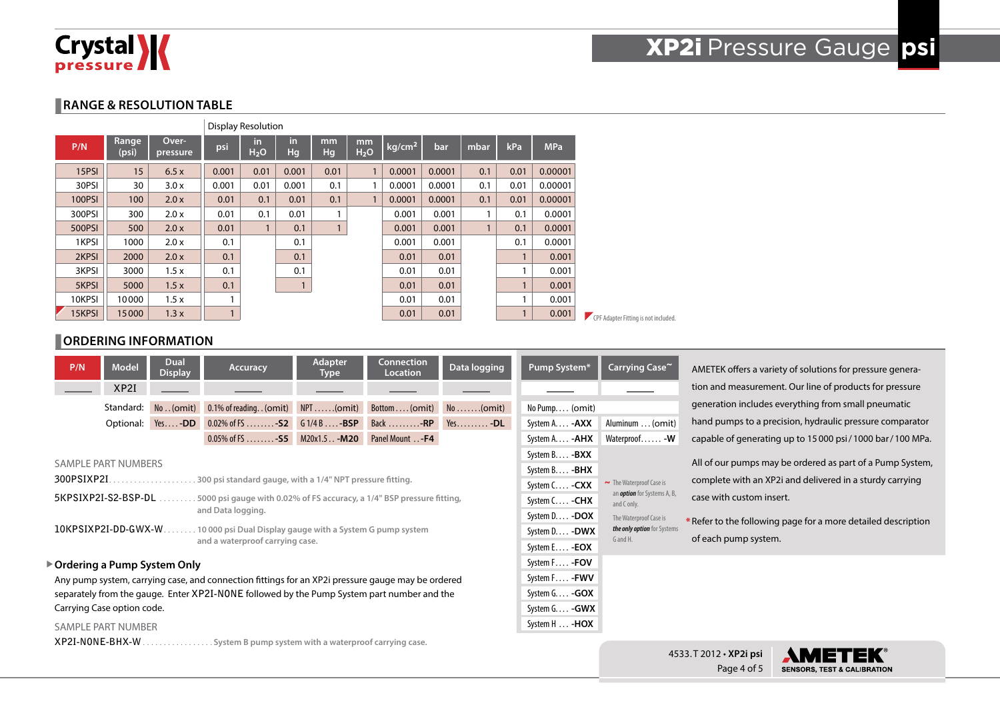

Page 4 of 5

 $\blacktriangle$ 

EK

ET **SENSORS, TEST & CALIBRATION** 

#### **RANGE & RESOLUTION TABLE**

|               |                |                   |       | <b>Display Resolution</b> |           |              |                        |                    |        |              |              |            |                                      |
|---------------|----------------|-------------------|-------|---------------------------|-----------|--------------|------------------------|--------------------|--------|--------------|--------------|------------|--------------------------------------|
| P/N           | Range<br>(psi) | Over-<br>pressure | psi   | in.<br>H <sub>2</sub> O   | in.<br>Hg | mm<br>Hg     | mm<br>H <sub>2</sub> O | kg/cm <sup>2</sup> | bar    | mbar         | kPa          | <b>MPa</b> |                                      |
| 15PSI         | 15             | 6.5x              | 0.001 | 0.01                      | 0.001     | 0.01         | $\mathbf{1}$           | 0.0001             | 0.0001 | 0.1          | 0.01         | 0.00001    |                                      |
| 30PSI         | 30             | 3.0x              | 0.001 | 0.01                      | 0.001     | 0.1          | 1                      | 0.0001             | 0.0001 | 0.1          | 0.01         | 0.00001    |                                      |
| <b>100PSI</b> | 100            | 2.0x              | 0.01  | 0.1                       | 0.01      | 0.1          | $\mathbf{1}$           | 0.0001             | 0.0001 | 0.1          | 0.01         | 0.00001    |                                      |
| 300PSI        | 300            | 2.0 x             | 0.01  | 0.1                       | 0.01      |              |                        | 0.001              | 0.001  |              | 0.1          | 0.0001     |                                      |
| 500PSI        | 500            | 2.0x              | 0.01  | $\mathbf{1}$              | 0.1       | $\mathbf{1}$ |                        | 0.001              | 0.001  | $\mathbf{1}$ | 0.1          | 0.0001     |                                      |
| 1KPSI         | 1000           | 2.0 x             | 0.1   |                           | 0.1       |              |                        | 0.001              | 0.001  |              | 0.1          | 0.0001     |                                      |
| 2KPSI         | 2000           | 2.0x              | 0.1   |                           | 0.1       |              |                        | 0.01               | 0.01   |              | $\mathbf{1}$ | 0.001      |                                      |
| 3KPSI         | 3000           | 1.5x              | 0.1   |                           | 0.1       |              |                        | 0.01               | 0.01   |              | и            | 0.001      |                                      |
| 5KPSI         | 5000           | 1.5x              | 0.1   |                           |           |              |                        | 0.01               | 0.01   |              | $\mathbf{1}$ | 0.001      |                                      |
| 10KPSI        | 10000          | 1.5x              |       |                           |           |              |                        | 0.01               | 0.01   |              |              | 0.001      |                                      |
| 15KPSI        | 15000          | 1.3x              |       |                           |           |              |                        | 0.01               | 0.01   |              | 1            | 0.001      | CPF Adapter Fitting is not included. |

# **CORDERING INFORMATION**

|                                                                           | P/N                                                                                      | <b>Model</b><br>XP2I | Dual<br><b>Display</b>        | <b>Accuracy</b>                                                                                                                                                                                                                                               | Adapter<br>Type | <b>Connection</b><br>Location | Data logging      | Pump System*                                                                                                                                     | Carrying Case~                                                                                                                                          | AMETEK offers a variety of solutions for pressure genera-<br>tion and measurement. Our line of products for pressure                                                                                                                       |
|---------------------------------------------------------------------------|------------------------------------------------------------------------------------------|----------------------|-------------------------------|---------------------------------------------------------------------------------------------------------------------------------------------------------------------------------------------------------------------------------------------------------------|-----------------|-------------------------------|-------------------|--------------------------------------------------------------------------------------------------------------------------------------------------|---------------------------------------------------------------------------------------------------------------------------------------------------------|--------------------------------------------------------------------------------------------------------------------------------------------------------------------------------------------------------------------------------------------|
|                                                                           |                                                                                          | Standard:            |                               | No(omit) 0.1% of reading(omit) NPT(omit)                                                                                                                                                                                                                      |                 | $Bottom (omit)$ No (omit)     |                   | No Pump (omit)                                                                                                                                   |                                                                                                                                                         | generation includes everything from small pneumatic                                                                                                                                                                                        |
|                                                                           |                                                                                          |                      | Optional: Yes-DD              | $0.02\%$ of FS - S2 G 1/4 B - BSP                                                                                                                                                                                                                             |                 | Back -RP                      | $Yes. \ldots -DL$ | System A - <b>AXX</b>                                                                                                                            | Aluminum  (omit)                                                                                                                                        | hand pumps to a precision, hydraulic pressure comparator                                                                                                                                                                                   |
|                                                                           |                                                                                          |                      |                               | 0.05% of FS  - 55 M20x1.5 - M20 Panel Mount  - F4                                                                                                                                                                                                             |                 |                               |                   | System A. - <b>AHX</b>                                                                                                                           | Waterproof - W                                                                                                                                          | capable of generating up to 15000 psi/1000 bar/100 MPa.                                                                                                                                                                                    |
|                                                                           | <b>SAMPLE PART NUMBERS</b><br>300PSIXP2I.<br>5KPSIXP2I-S2-BSP-DL<br>10KPSIXP2I-DD-GWX-W. |                      |                               | . 300 psi standard gauge, with a 1/4" NPT pressure fitting.<br>.5000 psi gauge with 0.02% of FS accuracy, a 1/4" BSP pressure fitting,<br>and Data logging.<br>. 10 000 psi Dual Display gauge with a System G pump system<br>and a waterproof carrying case. |                 |                               |                   | System B. - <b>BXX</b><br>System B - <b>BHX</b><br>System C - CXX<br>System C - CHX<br>System D - DOX<br>System D - DWX<br>System E - <b>EOX</b> | $\sim$ The Waterproof Case is<br>an <i>option</i> for Systems A, B,<br>and C only.<br>The Waterproof Case is<br>the only option for Systems<br>G and H. | All of our pumps may be ordered as part of a Pump System,<br>complete with an XP2i and delivered in a sturdy carrying<br>case with custom insert.<br>* Refer to the following page for a more detailed description<br>of each pump system. |
|                                                                           | Carrying Case option code.<br><b>SAMPLE PART NUMBER</b>                                  |                      | ▶ Ordering a Pump System Only | Any pump system, carrying case, and connection fittings for an XP2i pressure gauge may be ordered<br>separately from the gauge. Enter XP2I-NONE followed by the Pump System part number and the                                                               |                 |                               |                   | System F - FOV<br>System F - FWV<br>System G - GOX<br>System G - GWX<br>System H  - <b>HOX</b>                                                   |                                                                                                                                                         |                                                                                                                                                                                                                                            |
| XP2I-NONE-BHX-W.<br>System B pump system with a waterproof carrying case. |                                                                                          |                      |                               |                                                                                                                                                                                                                                                               |                 |                               |                   |                                                                                                                                                  |                                                                                                                                                         | 4533. T 2012 · XP2i psi<br><b>AMETEK</b>                                                                                                                                                                                                   |